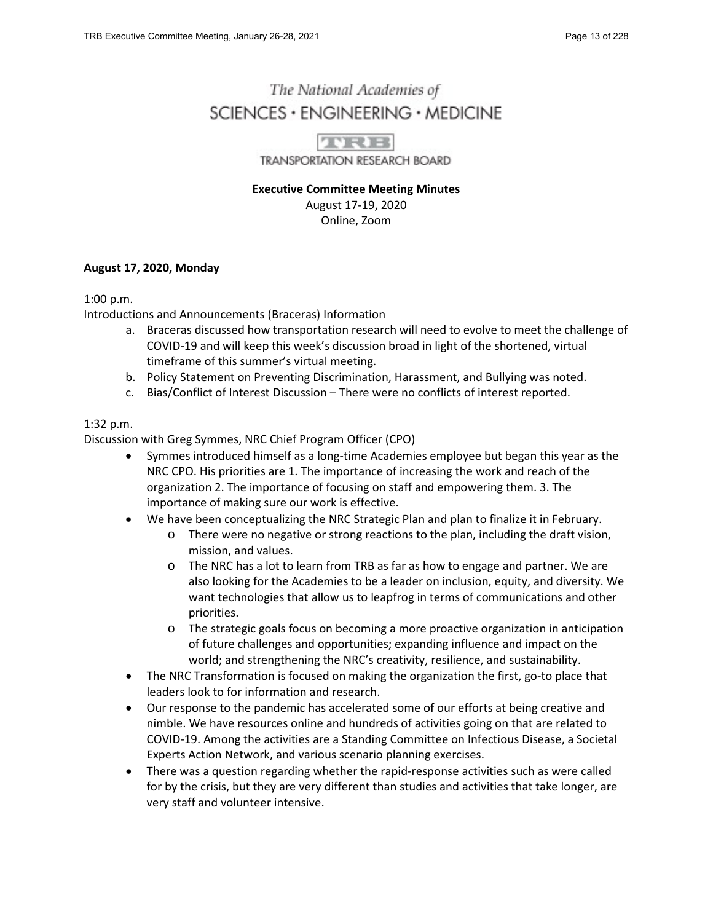# The National Academies of  $SCIENCES · ENGINEERING · MEDICINE$



**TRANSPORTATION RESEARCH BOARD** 

**Executive Committee Meeting Minutes** August 17-19, 2020 Online, Zoom

## **August 17, 2020, Monday**

#### 1:00 p.m.

Introductions and Announcements (Braceras) Information

- a. Braceras discussed how transportation research will need to evolve to meet the challenge of COVID-19 and will keep this week's discussion broad in light of the shortened, virtual timeframe of this summer's virtual meeting.
- b. Policy Statement on Preventing Discrimination, Harassment, and Bullying was noted.
- c. Bias/Conflict of Interest Discussion There were no conflicts of interest reported.

## 1:32 p.m.

Discussion with Greg Symmes, NRC Chief Program Officer (CPO)

- Symmes introduced himself as a long-time Academies employee but began this year as the NRC CPO. His priorities are 1. The importance of increasing the work and reach of the organization 2. The importance of focusing on staff and empowering them. 3. The importance of making sure our work is effective.
- We have been conceptualizing the NRC Strategic Plan and plan to finalize it in February.
	- o There were no negative or strong reactions to the plan, including the draft vision, mission, and values.
	- o The NRC has a lot to learn from TRB as far as how to engage and partner. We are also looking for the Academies to be a leader on inclusion, equity, and diversity. We want technologies that allow us to leapfrog in terms of communications and other priorities.
	- o The strategic goals focus on becoming a more proactive organization in anticipation of future challenges and opportunities; expanding influence and impact on the world; and strengthening the NRC's creativity, resilience, and sustainability.
- The NRC Transformation is focused on making the organization the first, go-to place that leaders look to for information and research.
- Our response to the pandemic has accelerated some of our efforts at being creative and nimble. We have resources online and hundreds of activities going on that are related to COVID-19. Among the activities are a Standing Committee on Infectious Disease, a Societal Experts Action Network, and various scenario planning exercises.
- There was a question regarding whether the rapid-response activities such as were called for by the crisis, but they are very different than studies and activities that take longer, are very staff and volunteer intensive.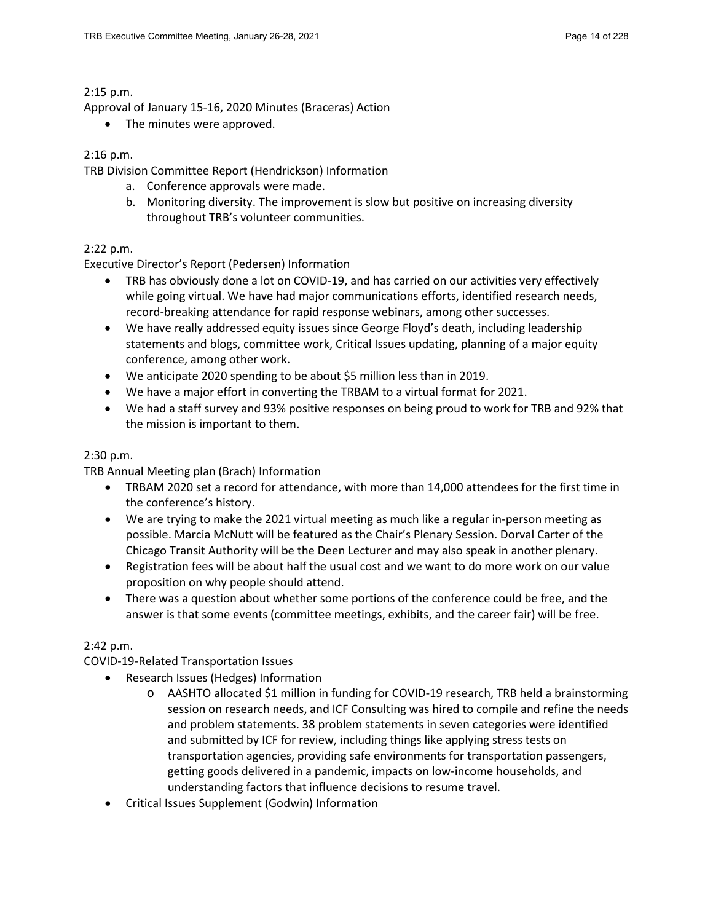#### 2:15 p.m.

Approval of January 15-16, 2020 Minutes (Braceras) Action

• The minutes were approved.

## 2:16 p.m.

TRB Division Committee Report (Hendrickson) Information

- a. Conference approvals were made.
- b. Monitoring diversity. The improvement is slow but positive on increasing diversity throughout TRB's volunteer communities.

# 2:22 p.m.

Executive Director's Report (Pedersen) Information

- TRB has obviously done a lot on COVID-19, and has carried on our activities very effectively while going virtual. We have had major communications efforts, identified research needs, record-breaking attendance for rapid response webinars, among other successes.
- We have really addressed equity issues since George Floyd's death, including leadership statements and blogs, committee work, Critical Issues updating, planning of a major equity conference, among other work.
- We anticipate 2020 spending to be about \$5 million less than in 2019.
- We have a major effort in converting the TRBAM to a virtual format for 2021.
- We had a staff survey and 93% positive responses on being proud to work for TRB and 92% that the mission is important to them.

## 2:30 p.m.

TRB Annual Meeting plan (Brach) Information

- TRBAM 2020 set a record for attendance, with more than 14,000 attendees for the first time in the conference's history.
- We are trying to make the 2021 virtual meeting as much like a regular in-person meeting as possible. Marcia McNutt will be featured as the Chair's Plenary Session. Dorval Carter of the Chicago Transit Authority will be the Deen Lecturer and may also speak in another plenary.
- Registration fees will be about half the usual cost and we want to do more work on our value proposition on why people should attend.
- There was a question about whether some portions of the conference could be free, and the answer is that some events (committee meetings, exhibits, and the career fair) will be free.

#### 2:42 p.m.

COVID-19-Related Transportation Issues

- Research Issues (Hedges) Information
	- o AASHTO allocated \$1 million in funding for COVID-19 research, TRB held a brainstorming session on research needs, and ICF Consulting was hired to compile and refine the needs and problem statements. 38 problem statements in seven categories were identified and submitted by ICF for review, including things like applying stress tests on transportation agencies, providing safe environments for transportation passengers, getting goods delivered in a pandemic, impacts on low-income households, and understanding factors that influence decisions to resume travel.
- Critical Issues Supplement (Godwin) Information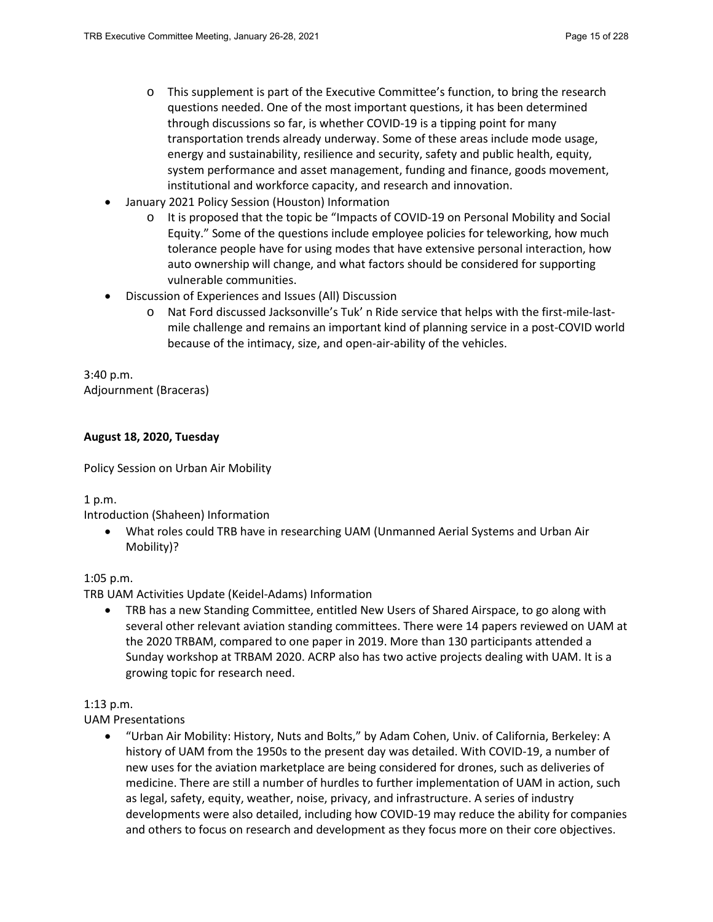- $\circ$  This supplement is part of the Executive Committee's function, to bring the research questions needed. One of the most important questions, it has been determined through discussions so far, is whether COVID-19 is a tipping point for many transportation trends already underway. Some of these areas include mode usage, energy and sustainability, resilience and security, safety and public health, equity, system performance and asset management, funding and finance, goods movement, institutional and workforce capacity, and research and innovation.
- January 2021 Policy Session (Houston) Information
	- o It is proposed that the topic be "Impacts of COVID-19 on Personal Mobility and Social Equity." Some of the questions include employee policies for teleworking, how much tolerance people have for using modes that have extensive personal interaction, how auto ownership will change, and what factors should be considered for supporting vulnerable communities.
- Discussion of Experiences and Issues (All) Discussion
	- o Nat Ford discussed Jacksonville's Tuk' n Ride service that helps with the first-mile-lastmile challenge and remains an important kind of planning service in a post-COVID world because of the intimacy, size, and open-air-ability of the vehicles.

3:40 p.m. Adjournment (Braceras)

# **August 18, 2020, Tuesday**

Policy Session on Urban Air Mobility

1 p.m.

Introduction (Shaheen) Information

• What roles could TRB have in researching UAM (Unmanned Aerial Systems and Urban Air Mobility)?

#### 1:05 p.m.

TRB UAM Activities Update (Keidel-Adams) Information

• TRB has a new Standing Committee, entitled New Users of Shared Airspace, to go along with several other relevant aviation standing committees. There were 14 papers reviewed on UAM at the 2020 TRBAM, compared to one paper in 2019. More than 130 participants attended a Sunday workshop at TRBAM 2020. ACRP also has two active projects dealing with UAM. It is a growing topic for research need.

#### 1:13 p.m.

UAM Presentations

• "Urban Air Mobility: History, Nuts and Bolts," by Adam Cohen, Univ. of California, Berkeley: A history of UAM from the 1950s to the present day was detailed. With COVID-19, a number of new uses for the aviation marketplace are being considered for drones, such as deliveries of medicine. There are still a number of hurdles to further implementation of UAM in action, such as legal, safety, equity, weather, noise, privacy, and infrastructure. A series of industry developments were also detailed, including how COVID-19 may reduce the ability for companies and others to focus on research and development as they focus more on their core objectives.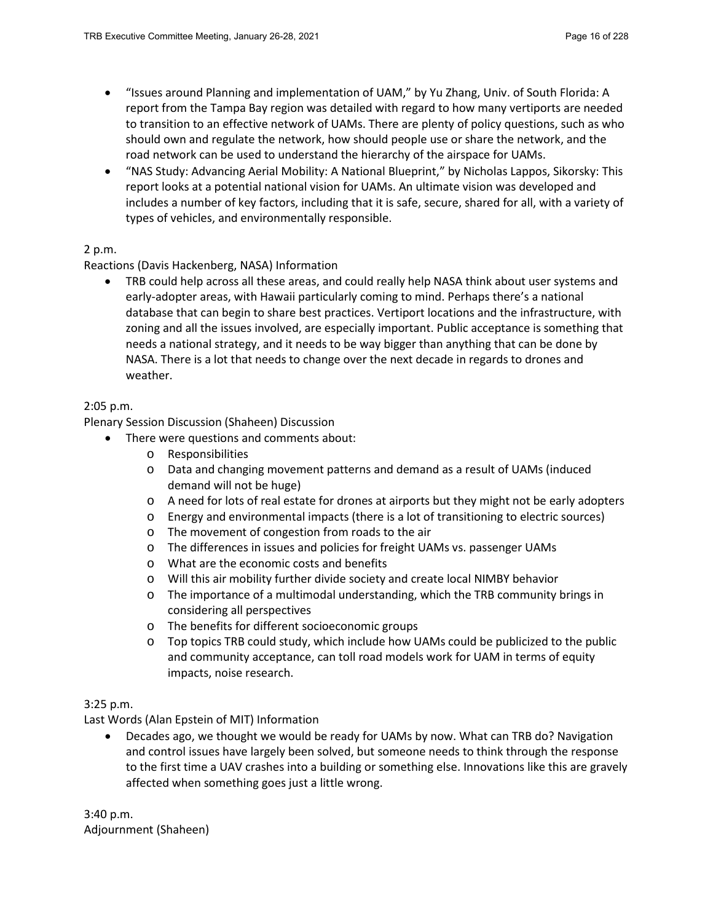- "Issues around Planning and implementation of UAM," by Yu Zhang, Univ. of South Florida: A report from the Tampa Bay region was detailed with regard to how many vertiports are needed to transition to an effective network of UAMs. There are plenty of policy questions, such as who should own and regulate the network, how should people use or share the network, and the road network can be used to understand the hierarchy of the airspace for UAMs.
- "NAS Study: Advancing Aerial Mobility: A National Blueprint," by Nicholas Lappos, Sikorsky: This report looks at a potential national vision for UAMs. An ultimate vision was developed and includes a number of key factors, including that it is safe, secure, shared for all, with a variety of types of vehicles, and environmentally responsible.

# 2 p.m.

Reactions (Davis Hackenberg, NASA) Information

• TRB could help across all these areas, and could really help NASA think about user systems and early-adopter areas, with Hawaii particularly coming to mind. Perhaps there's a national database that can begin to share best practices. Vertiport locations and the infrastructure, with zoning and all the issues involved, are especially important. Public acceptance is something that needs a national strategy, and it needs to be way bigger than anything that can be done by NASA. There is a lot that needs to change over the next decade in regards to drones and weather.

## 2:05 p.m.

Plenary Session Discussion (Shaheen) Discussion

- There were questions and comments about:
	- o Responsibilities
	- o Data and changing movement patterns and demand as a result of UAMs (induced demand will not be huge)
	- o A need for lots of real estate for drones at airports but they might not be early adopters
	- o Energy and environmental impacts (there is a lot of transitioning to electric sources)
	- o The movement of congestion from roads to the air
	- o The differences in issues and policies for freight UAMs vs. passenger UAMs
	- o What are the economic costs and benefits
	- o Will this air mobility further divide society and create local NIMBY behavior
	- o The importance of a multimodal understanding, which the TRB community brings in considering all perspectives
	- o The benefits for different socioeconomic groups
	- $\circ$  Top topics TRB could study, which include how UAMs could be publicized to the public and community acceptance, can toll road models work for UAM in terms of equity impacts, noise research.

#### 3:25 p.m.

Last Words (Alan Epstein of MIT) Information

• Decades ago, we thought we would be ready for UAMs by now. What can TRB do? Navigation and control issues have largely been solved, but someone needs to think through the response to the first time a UAV crashes into a building or something else. Innovations like this are gravely affected when something goes just a little wrong.

3:40 p.m. Adjournment (Shaheen)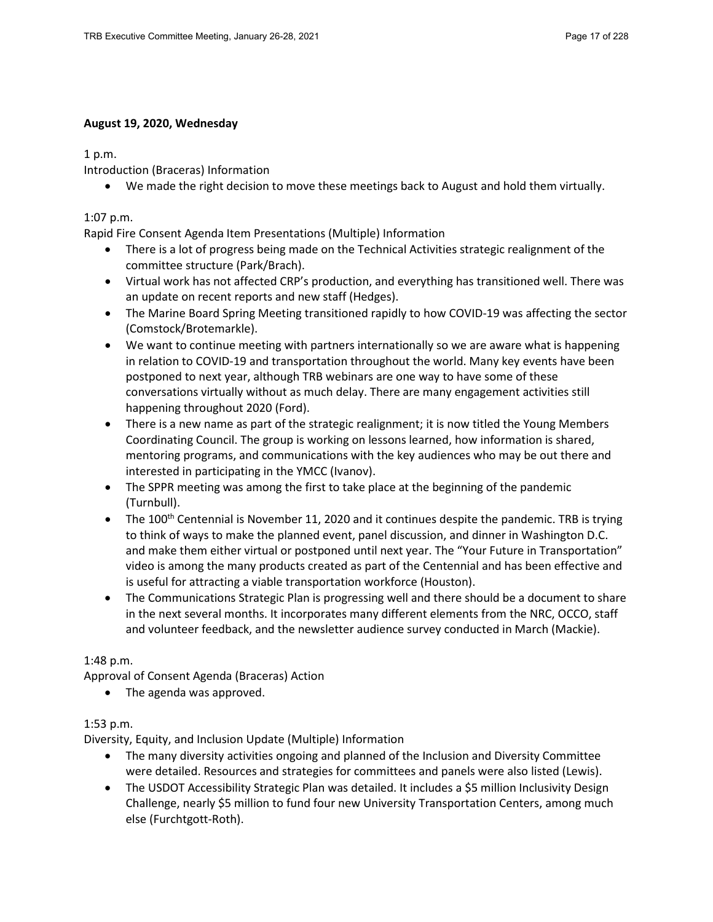## **August 19, 2020, Wednesday**

1 p.m.

Introduction (Braceras) Information

• We made the right decision to move these meetings back to August and hold them virtually.

## 1:07 p.m.

Rapid Fire Consent Agenda Item Presentations (Multiple) Information

- There is a lot of progress being made on the Technical Activities strategic realignment of the committee structure (Park/Brach).
- Virtual work has not affected CRP's production, and everything has transitioned well. There was an update on recent reports and new staff (Hedges).
- The Marine Board Spring Meeting transitioned rapidly to how COVID-19 was affecting the sector (Comstock/Brotemarkle).
- We want to continue meeting with partners internationally so we are aware what is happening in relation to COVID-19 and transportation throughout the world. Many key events have been postponed to next year, although TRB webinars are one way to have some of these conversations virtually without as much delay. There are many engagement activities still happening throughout 2020 (Ford).
- There is a new name as part of the strategic realignment; it is now titled the Young Members Coordinating Council. The group is working on lessons learned, how information is shared, mentoring programs, and communications with the key audiences who may be out there and interested in participating in the YMCC (Ivanov).
- The SPPR meeting was among the first to take place at the beginning of the pandemic (Turnbull).
- The 100<sup>th</sup> Centennial is November 11, 2020 and it continues despite the pandemic. TRB is trying to think of ways to make the planned event, panel discussion, and dinner in Washington D.C. and make them either virtual or postponed until next year. The "Your Future in Transportation" video is among the many products created as part of the Centennial and has been effective and is useful for attracting a viable transportation workforce (Houston).
- The Communications Strategic Plan is progressing well and there should be a document to share in the next several months. It incorporates many different elements from the NRC, OCCO, staff and volunteer feedback, and the newsletter audience survey conducted in March (Mackie).

# 1:48 p.m.

Approval of Consent Agenda (Braceras) Action

• The agenda was approved.

# 1:53 p.m.

Diversity, Equity, and Inclusion Update (Multiple) Information

- The many diversity activities ongoing and planned of the Inclusion and Diversity Committee were detailed. Resources and strategies for committees and panels were also listed (Lewis).
- The USDOT Accessibility Strategic Plan was detailed. It includes a \$5 million Inclusivity Design Challenge, nearly \$5 million to fund four new University Transportation Centers, among much else (Furchtgott-Roth).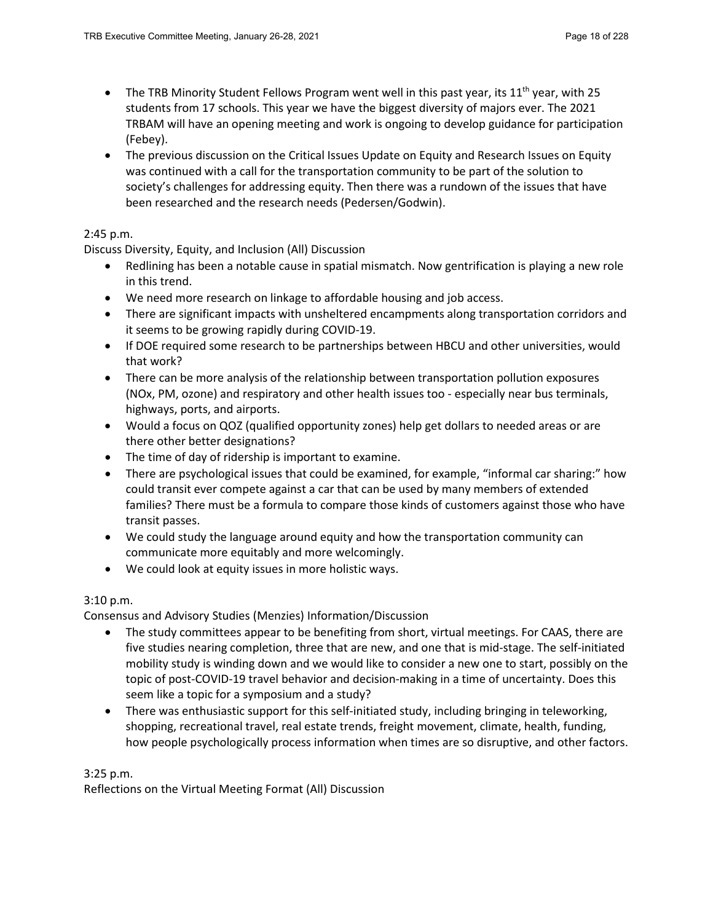- The TRB Minority Student Fellows Program went well in this past year, its  $11<sup>th</sup>$  year, with 25 students from 17 schools. This year we have the biggest diversity of majors ever. The 2021 TRBAM will have an opening meeting and work is ongoing to develop guidance for participation (Febey).
- The previous discussion on the Critical Issues Update on Equity and Research Issues on Equity was continued with a call for the transportation community to be part of the solution to society's challenges for addressing equity. Then there was a rundown of the issues that have been researched and the research needs (Pedersen/Godwin).

## 2:45 p.m.

Discuss Diversity, Equity, and Inclusion (All) Discussion

- Redlining has been a notable cause in spatial mismatch. Now gentrification is playing a new role in this trend.
- We need more research on linkage to affordable housing and job access.
- There are significant impacts with unsheltered encampments along transportation corridors and it seems to be growing rapidly during COVID-19.
- If DOE required some research to be partnerships between HBCU and other universities, would that work?
- There can be more analysis of the relationship between transportation pollution exposures (NOx, PM, ozone) and respiratory and other health issues too - especially near bus terminals, highways, ports, and airports.
- Would a focus on QOZ (qualified opportunity zones) help get dollars to needed areas or are there other better designations?
- The time of day of ridership is important to examine.
- There are psychological issues that could be examined, for example, "informal car sharing:" how could transit ever compete against a car that can be used by many members of extended families? There must be a formula to compare those kinds of customers against those who have transit passes.
- We could study the language around equity and how the transportation community can communicate more equitably and more welcomingly.
- We could look at equity issues in more holistic ways.

# 3:10 p.m.

Consensus and Advisory Studies (Menzies) Information/Discussion

- The study committees appear to be benefiting from short, virtual meetings. For CAAS, there are five studies nearing completion, three that are new, and one that is mid-stage. The self-initiated mobility study is winding down and we would like to consider a new one to start, possibly on the topic of post-COVID-19 travel behavior and decision-making in a time of uncertainty. Does this seem like a topic for a symposium and a study?
- There was enthusiastic support for this self-initiated study, including bringing in teleworking, shopping, recreational travel, real estate trends, freight movement, climate, health, funding, how people psychologically process information when times are so disruptive, and other factors.

#### 3:25 p.m.

Reflections on the Virtual Meeting Format (All) Discussion